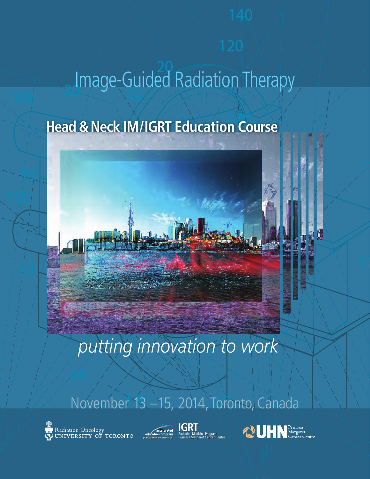## Image-Guided Radiation Therapy

## $\overline{120}$ **Head & Neck IM/IGRT Education Course**

## *putting innovation to work*

80

120

## $132 - 152014$  Tord November 13 –15, 2014, Toronto, Canada

Radiation Oncology<br>UNIVERSITY OF TORONTO

 $100$ 







**60**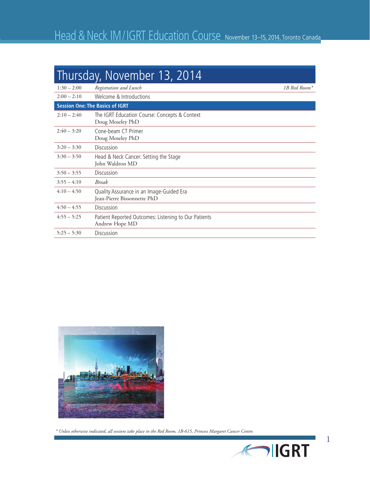| Thursday, November 13, 2014            |                                                                         |              |  |  |
|----------------------------------------|-------------------------------------------------------------------------|--------------|--|--|
| $1:30 - 2:00$                          | Registration and Lunch                                                  | 1B Red Room* |  |  |
| $2:00 - 2:10$                          | Welcome & Introductions                                                 |              |  |  |
| <b>Session One: The Basics of IGRT</b> |                                                                         |              |  |  |
| $2:10 - 2:40$                          | The IGRT Education Course: Concepts & Context<br>Doug Moseley PhD       |              |  |  |
| $2:40 - 3:20$                          | Cone-beam CT Primer<br>Doug Moseley PhD                                 |              |  |  |
| $3:20 - 3:30$                          | <b>Discussion</b>                                                       |              |  |  |
| $3:30 - 3:50$                          | Head & Neck Cancer: Setting the Stage<br>John Waldron MD                |              |  |  |
| $3:50 - 3:55$                          | Discussion                                                              |              |  |  |
| $3:55 - 4:10$                          | <b>Break</b>                                                            |              |  |  |
| $4:10-4:50$                            | Quality Assurance in an Image-Guided Era<br>Jean-Pierre Bissonnette PhD |              |  |  |
| $4:50 - 4:55$                          | Discussion                                                              |              |  |  |
| $4:55 - 5:25$                          | Patient Reported Outcomes: Listening to Our Patients<br>Andrew Hope MD  |              |  |  |
| $5:25 - 5:30$                          | <b>Discussion</b>                                                       |              |  |  |



 *\* Unless otherwise indicated, all sessions take place in the Red Room, 1B-615, Princess Margaret Cancer Centre.*

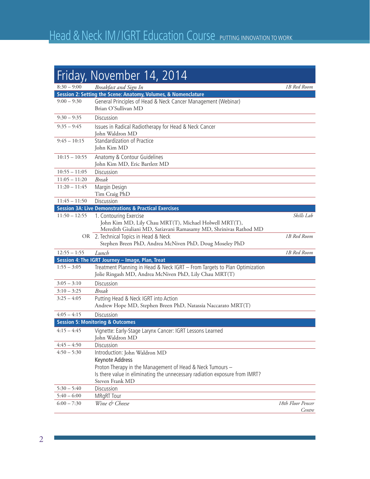|                 | Friday, November 14, 2014                                                                                                                            |                             |
|-----------------|------------------------------------------------------------------------------------------------------------------------------------------------------|-----------------------------|
| $8:30 - 9:00$   | Breakfast and Sign In                                                                                                                                | 1B Red Room                 |
|                 | Session 2: Setting the Scene: Anatomy, Volumes, & Nomenclature                                                                                       |                             |
| $9:00 - 9:30$   | General Principles of Head & Neck Cancer Management (Webinar)<br>Brian O'Sullivan MD                                                                 |                             |
| $9:30 - 9:35$   | Discussion                                                                                                                                           |                             |
| $9:35 - 9:45$   | Issues in Radical Radiotherapy for Head & Neck Cancer<br>John Waldron MD                                                                             |                             |
| $9:45 - 10:15$  | Standardization of Practice<br>John Kim MD                                                                                                           |                             |
| $10:15 - 10:55$ | Anatomy & Contour Guidelines<br>John Kim MD, Eric Bartlett MD                                                                                        |                             |
| $10:55 - 11:05$ | Discussion                                                                                                                                           |                             |
| $11:05 - 11:20$ | <b>Break</b>                                                                                                                                         |                             |
| $11:20 - 11:45$ | Margin Design<br>Tim Craig PhD                                                                                                                       |                             |
| $11:45 - 11:50$ | Discussion                                                                                                                                           |                             |
|                 | <b>Session 3A: Live Demonstrations &amp; Practical Exercises</b>                                                                                     |                             |
| $11:50 - 12:55$ | 1. Contouring Exercise<br>John Kim MD, Lily Chau MRT(T), Michael Holwell MRT(T),<br>Meredith Giuliani MD, Satiavani Ramasamy MD, Shrinivas Rathod MD | Skills Lab                  |
|                 | OR 2. Technical Topics in Head & Neck<br>Stephen Breen PhD, Andrea McNiven PhD, Doug Moseley PhD                                                     | 1B Red Room                 |
| $12:55 - 1:55$  | Lunch                                                                                                                                                | 1B Red Room                 |
|                 | Session 4: The IGRT Journey - Image, Plan, Treat                                                                                                     |                             |
| $1:55 - 3:05$   | Treatment Planning in Head & Neck IGRT - From Targets to Plan Optimization<br>Jolie Ringash MD, Andrea McNiven PhD, Lily Chau MRT(T)                 |                             |
| $3:05 - 3:10$   | Discussion                                                                                                                                           |                             |
| $3:10 - 3:25$   | <b>Break</b>                                                                                                                                         |                             |
| $3:25 - 4:05$   | Putting Head & Neck IGRT into Action<br>Andrew Hope MD, Stephen Breen PhD, Natassia Naccarato MRT(T)                                                 |                             |
| $4:05 - 4:15$   | Discussion                                                                                                                                           |                             |
|                 | <b>Session 5: Monitoring &amp; Outcomes</b>                                                                                                          |                             |
| $4:15 - 4:45$   | Vignette: Early-Stage Larynx Cancer: IGRT Lessons Learned<br>John Waldron MD                                                                         |                             |
| $4:45 - 4:50$   | Discussion                                                                                                                                           |                             |
| $4:50 - 5:30$   | Introduction: John Waldron MD                                                                                                                        |                             |
|                 | Keynote Address                                                                                                                                      |                             |
|                 | Proton Therapy in the Management of Head & Neck Tumours -                                                                                            |                             |
|                 | Is there value in eliminating the unnecessary radiation exposure from IMRT?<br>Steven Frank MD                                                       |                             |
| $5:30 - 5:40$   | Discussion                                                                                                                                           |                             |
| $5:40 - 6:00$   | <b>MRgRT</b> Tour                                                                                                                                    |                             |
| $6:00 - 7:30$   | Wine & Cheese                                                                                                                                        | 18th Floor Pencer<br>Centre |